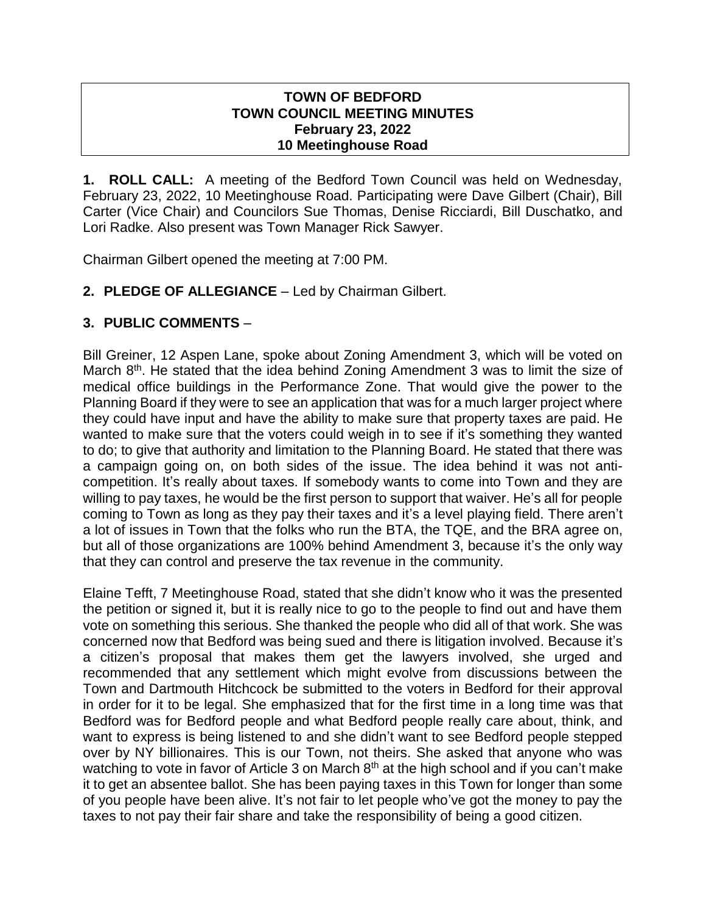#### **TOWN OF BEDFORD TOWN COUNCIL MEETING MINUTES February 23, 2022 10 Meetinghouse Road**

**1. ROLL CALL:** A meeting of the Bedford Town Council was held on Wednesday, February 23, 2022, 10 Meetinghouse Road. Participating were Dave Gilbert (Chair), Bill Carter (Vice Chair) and Councilors Sue Thomas, Denise Ricciardi, Bill Duschatko, and Lori Radke. Also present was Town Manager Rick Sawyer.

Chairman Gilbert opened the meeting at 7:00 PM.

**2. PLEDGE OF ALLEGIANCE** – Led by Chairman Gilbert.

# **3. PUBLIC COMMENTS** –

Bill Greiner, 12 Aspen Lane, spoke about Zoning Amendment 3, which will be voted on March  $8<sup>th</sup>$ . He stated that the idea behind Zoning Amendment 3 was to limit the size of medical office buildings in the Performance Zone. That would give the power to the Planning Board if they were to see an application that was for a much larger project where they could have input and have the ability to make sure that property taxes are paid. He wanted to make sure that the voters could weigh in to see if it's something they wanted to do; to give that authority and limitation to the Planning Board. He stated that there was a campaign going on, on both sides of the issue. The idea behind it was not anticompetition. It's really about taxes. If somebody wants to come into Town and they are willing to pay taxes, he would be the first person to support that waiver. He's all for people coming to Town as long as they pay their taxes and it's a level playing field. There aren't a lot of issues in Town that the folks who run the BTA, the TQE, and the BRA agree on, but all of those organizations are 100% behind Amendment 3, because it's the only way that they can control and preserve the tax revenue in the community.

Elaine Tefft, 7 Meetinghouse Road, stated that she didn't know who it was the presented the petition or signed it, but it is really nice to go to the people to find out and have them vote on something this serious. She thanked the people who did all of that work. She was concerned now that Bedford was being sued and there is litigation involved. Because it's a citizen's proposal that makes them get the lawyers involved, she urged and recommended that any settlement which might evolve from discussions between the Town and Dartmouth Hitchcock be submitted to the voters in Bedford for their approval in order for it to be legal. She emphasized that for the first time in a long time was that Bedford was for Bedford people and what Bedford people really care about, think, and want to express is being listened to and she didn't want to see Bedford people stepped over by NY billionaires. This is our Town, not theirs. She asked that anyone who was watching to vote in favor of Article 3 on March  $8<sup>th</sup>$  at the high school and if you can't make it to get an absentee ballot. She has been paying taxes in this Town for longer than some of you people have been alive. It's not fair to let people who've got the money to pay the taxes to not pay their fair share and take the responsibility of being a good citizen.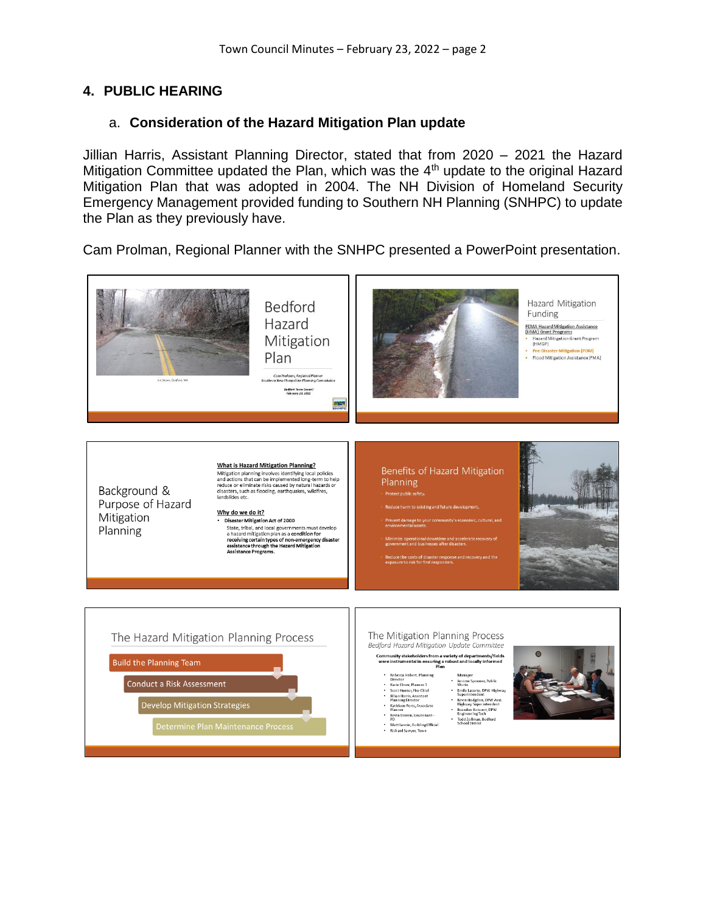# **4. PUBLIC HEARING**

## a. **Consideration of the Hazard Mitigation Plan update**

Jillian Harris, Assistant Planning Director, stated that from 2020 – 2021 the Hazard Mitigation Committee updated the Plan, which was the 4th update to the original Hazard Mitigation Plan that was adopted in 2004. The NH Division of Homeland Security Emergency Management provided funding to Southern NH Planning (SNHPC) to update the Plan as they previously have.

Cam Prolman, Regional Planner with the SNHPC presented a PowerPoint presentation.

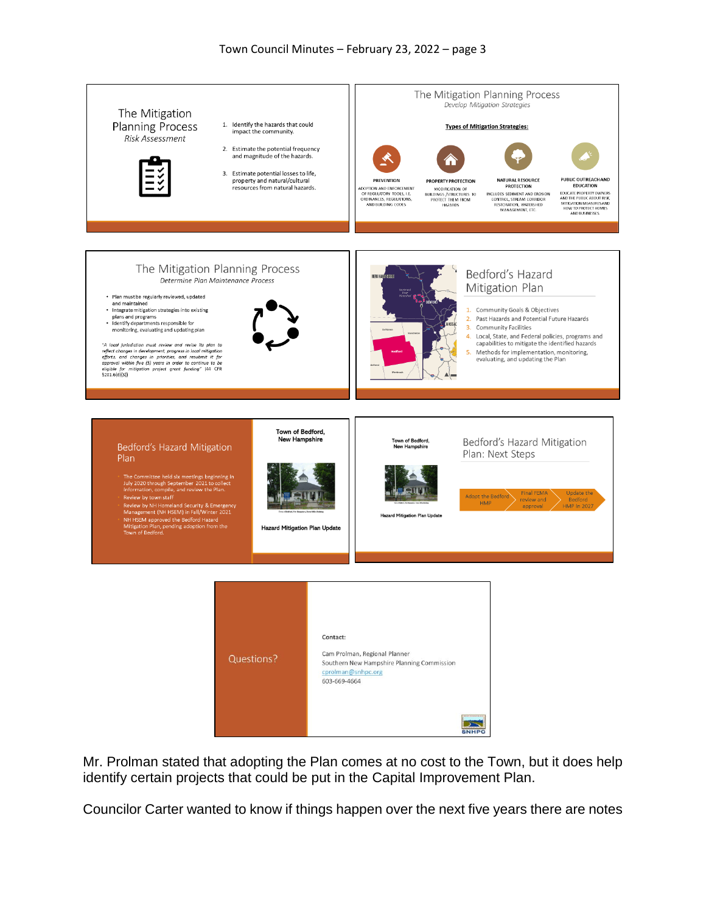

Mr. Prolman stated that adopting the Plan comes at no cost to the Town, but it does help identify certain projects that could be put in the Capital Improvement Plan.

Councilor Carter wanted to know if things happen over the next five years there are notes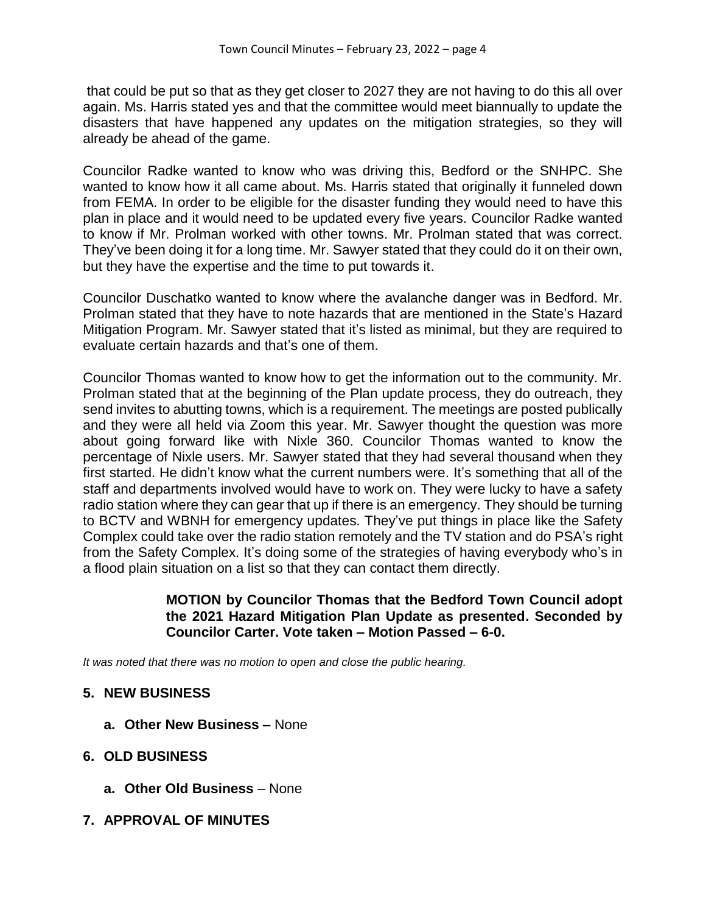that could be put so that as they get closer to 2027 they are not having to do this all over again. Ms. Harris stated yes and that the committee would meet biannually to update the disasters that have happened any updates on the mitigation strategies, so they will already be ahead of the game.

Councilor Radke wanted to know who was driving this, Bedford or the SNHPC. She wanted to know how it all came about. Ms. Harris stated that originally it funneled down from FEMA. In order to be eligible for the disaster funding they would need to have this plan in place and it would need to be updated every five years. Councilor Radke wanted to know if Mr. Prolman worked with other towns. Mr. Prolman stated that was correct. They've been doing it for a long time. Mr. Sawyer stated that they could do it on their own, but they have the expertise and the time to put towards it.

Councilor Duschatko wanted to know where the avalanche danger was in Bedford. Mr. Prolman stated that they have to note hazards that are mentioned in the State's Hazard Mitigation Program. Mr. Sawyer stated that it's listed as minimal, but they are required to evaluate certain hazards and that's one of them.

Councilor Thomas wanted to know how to get the information out to the community. Mr. Prolman stated that at the beginning of the Plan update process, they do outreach, they send invites to abutting towns, which is a requirement. The meetings are posted publically and they were all held via Zoom this year. Mr. Sawyer thought the question was more about going forward like with Nixle 360. Councilor Thomas wanted to know the percentage of Nixle users. Mr. Sawyer stated that they had several thousand when they first started. He didn't know what the current numbers were. It's something that all of the staff and departments involved would have to work on. They were lucky to have a safety radio station where they can gear that up if there is an emergency. They should be turning to BCTV and WBNH for emergency updates. They've put things in place like the Safety Complex could take over the radio station remotely and the TV station and do PSA's right from the Safety Complex. It's doing some of the strategies of having everybody who's in a flood plain situation on a list so that they can contact them directly.

#### **MOTION by Councilor Thomas that the Bedford Town Council adopt the 2021 Hazard Mitigation Plan Update as presented. Seconded by Councilor Carter. Vote taken – Motion Passed – 6-0.**

*It was noted that there was no motion to open and close the public hearing.*

# **5. NEW BUSINESS**

- **a. Other New Business –** None
- **6. OLD BUSINESS**
	- **a. Other Old Business** None
- **7. APPROVAL OF MINUTES**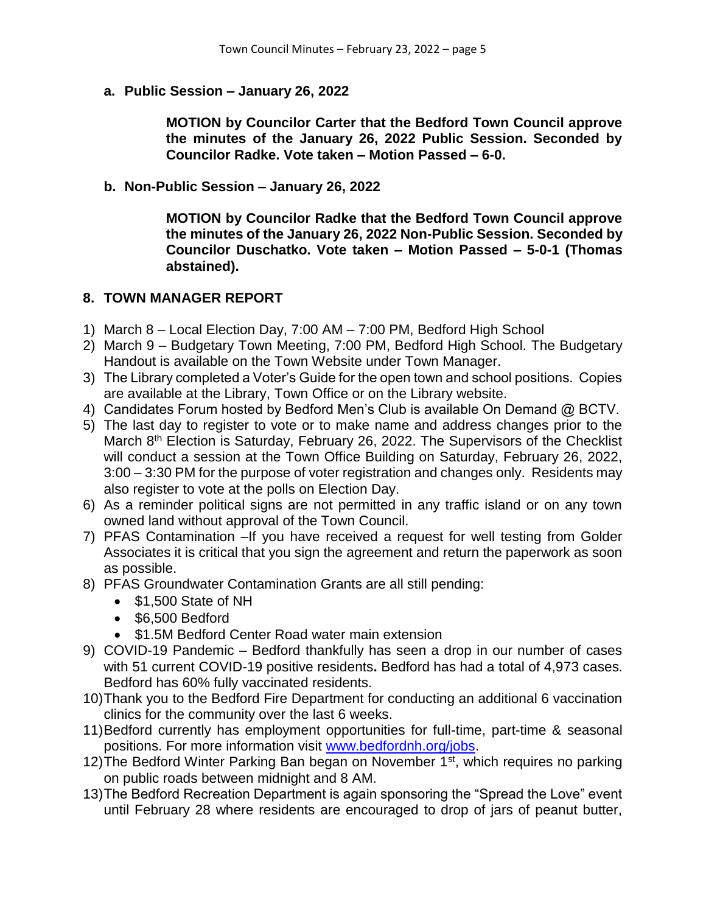**a. Public Session – January 26, 2022**

**MOTION by Councilor Carter that the Bedford Town Council approve the minutes of the January 26, 2022 Public Session. Seconded by Councilor Radke. Vote taken – Motion Passed – 6-0.**

**b. Non-Public Session – January 26, 2022**

**MOTION by Councilor Radke that the Bedford Town Council approve the minutes of the January 26, 2022 Non-Public Session. Seconded by Councilor Duschatko. Vote taken – Motion Passed – 5-0-1 (Thomas abstained).**

#### **8. TOWN MANAGER REPORT**

- 1) March 8 Local Election Day, 7:00 AM 7:00 PM, Bedford High School
- 2) March 9 Budgetary Town Meeting, 7:00 PM, Bedford High School. The Budgetary Handout is available on the Town Website under Town Manager.
- 3) The Library completed a Voter's Guide for the open town and school positions. Copies are available at the Library, Town Office or on the Library website.
- 4) Candidates Forum hosted by Bedford Men's Club is available On Demand @ BCTV.
- 5) The last day to register to vote or to make name and address changes prior to the March 8<sup>th</sup> Election is Saturday, February 26, 2022. The Supervisors of the Checklist will conduct a session at the Town Office Building on Saturday, February 26, 2022, 3:00 – 3:30 PM for the purpose of voter registration and changes only. Residents may also register to vote at the polls on Election Day.
- 6) As a reminder political signs are not permitted in any traffic island or on any town owned land without approval of the Town Council.
- 7) PFAS Contamination –If you have received a request for well testing from Golder Associates it is critical that you sign the agreement and return the paperwork as soon as possible.
- 8) PFAS Groundwater Contamination Grants are all still pending:
	- $\bullet$  \$1,500 State of NH
	- $\bullet$  \$6.500 Bedford
	- \$1.5M Bedford Center Road water main extension
- 9) COVID-19 Pandemic Bedford thankfully has seen a drop in our number of cases with 51 current COVID-19 positive residents**.** Bedford has had a total of 4,973 cases. Bedford has 60% fully vaccinated residents.
- 10)Thank you to the Bedford Fire Department for conducting an additional 6 vaccination clinics for the community over the last 6 weeks.
- 11)Bedford currently has employment opportunities for full-time, part-time & seasonal positions. For more information visit [www.bedfordnh.org/jobs.](http://www.bedfordnh.org/jobs)
- 12) The Bedford Winter Parking Ban began on November 1<sup>st</sup>, which requires no parking on public roads between midnight and 8 AM.
- 13)The Bedford Recreation Department is again sponsoring the "Spread the Love" event until February 28 where residents are encouraged to drop of jars of peanut butter,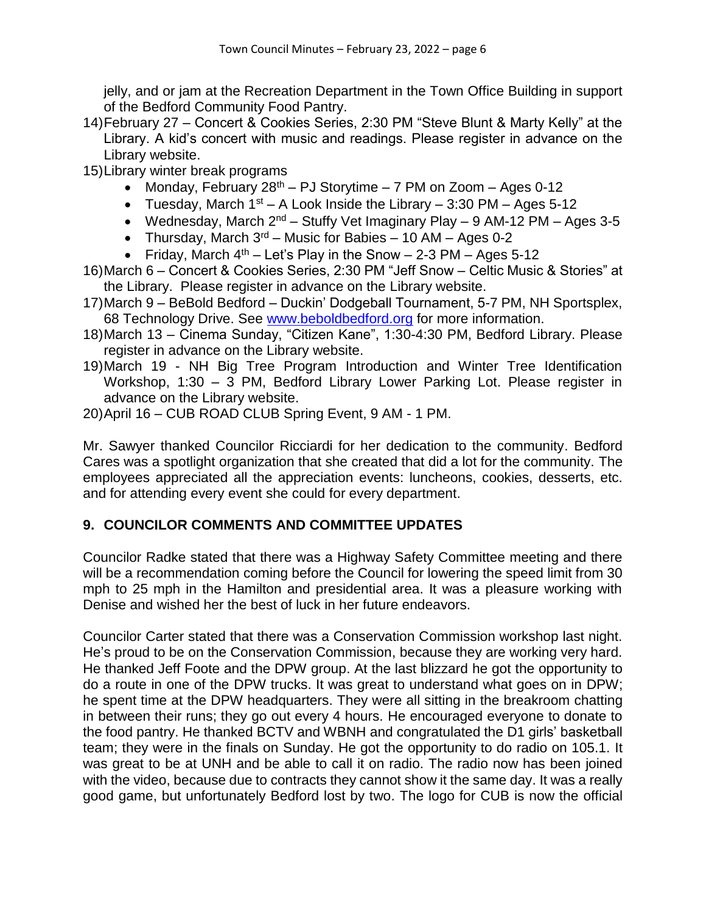jelly, and or jam at the Recreation Department in the Town Office Building in support of the Bedford Community Food Pantry.

- 14)February 27 Concert & Cookies Series, 2:30 PM "Steve Blunt & Marty Kelly" at the Library. A kid's concert with music and readings. Please register in advance on the Library website.
- 15)Library winter break programs
	- Monday, February  $28<sup>th</sup> PJ$  Storytime 7 PM on Zoom Ages 0-12
	- Tuesday, March  $1^{st}$  A Look Inside the Library 3:30 PM Ages 5-12
	- Wednesday, March  $2^{nd}$  Stuffy Vet Imaginary Play 9 AM-12 PM Ages 3-5
	- Thursday, March  $3^{rd}$  Music for Babies 10 AM Ages 0-2
	- Friday, March  $4<sup>th</sup>$  Let's Play in the Snow 2-3 PM Ages 5-12
- 16)March 6 Concert & Cookies Series, 2:30 PM "Jeff Snow Celtic Music & Stories" at the Library. Please register in advance on the Library website.
- 17)March 9 BeBold Bedford Duckin' Dodgeball Tournament, 5-7 PM, NH Sportsplex, 68 Technology Drive. See [www.beboldbedford.org](http://www.beboldbedford.org/) for more information.
- 18)March 13 Cinema Sunday, "Citizen Kane", 1:30-4:30 PM, Bedford Library. Please register in advance on the Library website.
- 19)March 19 NH Big Tree Program Introduction and Winter Tree Identification Workshop, 1:30 – 3 PM, Bedford Library Lower Parking Lot. Please register in advance on the Library website.
- 20)April 16 CUB ROAD CLUB Spring Event, 9 AM 1 PM.

Mr. Sawyer thanked Councilor Ricciardi for her dedication to the community. Bedford Cares was a spotlight organization that she created that did a lot for the community. The employees appreciated all the appreciation events: luncheons, cookies, desserts, etc. and for attending every event she could for every department.

# **9. COUNCILOR COMMENTS AND COMMITTEE UPDATES**

Councilor Radke stated that there was a Highway Safety Committee meeting and there will be a recommendation coming before the Council for lowering the speed limit from 30 mph to 25 mph in the Hamilton and presidential area. It was a pleasure working with Denise and wished her the best of luck in her future endeavors.

Councilor Carter stated that there was a Conservation Commission workshop last night. He's proud to be on the Conservation Commission, because they are working very hard. He thanked Jeff Foote and the DPW group. At the last blizzard he got the opportunity to do a route in one of the DPW trucks. It was great to understand what goes on in DPW; he spent time at the DPW headquarters. They were all sitting in the breakroom chatting in between their runs; they go out every 4 hours. He encouraged everyone to donate to the food pantry. He thanked BCTV and WBNH and congratulated the D1 girls' basketball team; they were in the finals on Sunday. He got the opportunity to do radio on 105.1. It was great to be at UNH and be able to call it on radio. The radio now has been joined with the video, because due to contracts they cannot show it the same day. It was a really good game, but unfortunately Bedford lost by two. The logo for CUB is now the official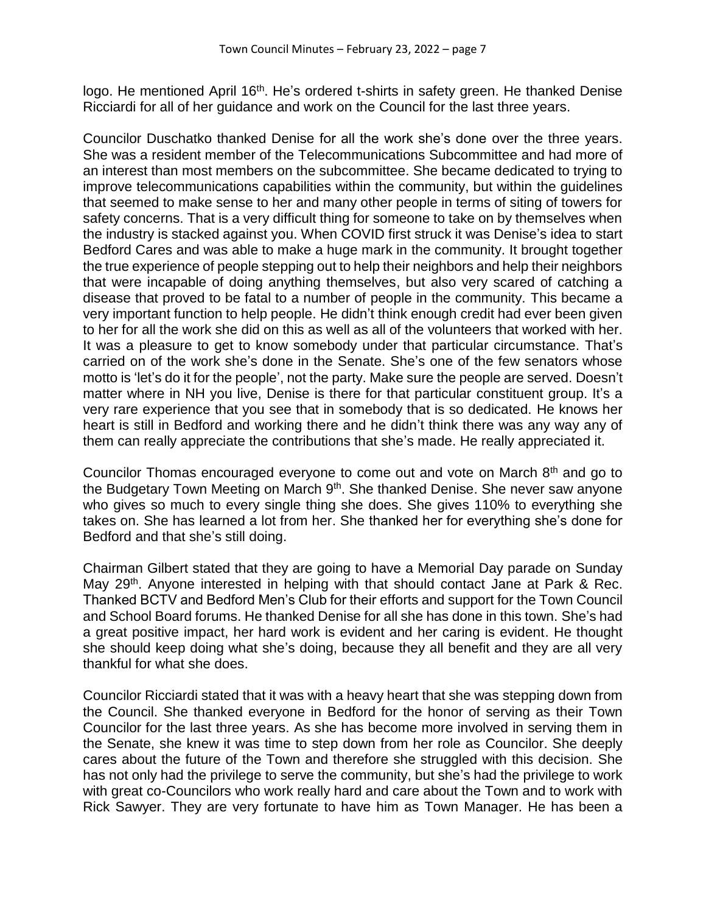logo. He mentioned April 16<sup>th</sup>. He's ordered t-shirts in safety green. He thanked Denise Ricciardi for all of her guidance and work on the Council for the last three years.

Councilor Duschatko thanked Denise for all the work she's done over the three years. She was a resident member of the Telecommunications Subcommittee and had more of an interest than most members on the subcommittee. She became dedicated to trying to improve telecommunications capabilities within the community, but within the guidelines that seemed to make sense to her and many other people in terms of siting of towers for safety concerns. That is a very difficult thing for someone to take on by themselves when the industry is stacked against you. When COVID first struck it was Denise's idea to start Bedford Cares and was able to make a huge mark in the community. It brought together the true experience of people stepping out to help their neighbors and help their neighbors that were incapable of doing anything themselves, but also very scared of catching a disease that proved to be fatal to a number of people in the community. This became a very important function to help people. He didn't think enough credit had ever been given to her for all the work she did on this as well as all of the volunteers that worked with her. It was a pleasure to get to know somebody under that particular circumstance. That's carried on of the work she's done in the Senate. She's one of the few senators whose motto is 'let's do it for the people', not the party. Make sure the people are served. Doesn't matter where in NH you live, Denise is there for that particular constituent group. It's a very rare experience that you see that in somebody that is so dedicated. He knows her heart is still in Bedford and working there and he didn't think there was any way any of them can really appreciate the contributions that she's made. He really appreciated it.

Councilor Thomas encouraged everyone to come out and vote on March 8<sup>th</sup> and go to the Budgetary Town Meeting on March 9<sup>th</sup>. She thanked Denise. She never saw anyone who gives so much to every single thing she does. She gives 110% to everything she takes on. She has learned a lot from her. She thanked her for everything she's done for Bedford and that she's still doing.

Chairman Gilbert stated that they are going to have a Memorial Day parade on Sunday May 29<sup>th</sup>. Anyone interested in helping with that should contact Jane at Park & Rec. Thanked BCTV and Bedford Men's Club for their efforts and support for the Town Council and School Board forums. He thanked Denise for all she has done in this town. She's had a great positive impact, her hard work is evident and her caring is evident. He thought she should keep doing what she's doing, because they all benefit and they are all very thankful for what she does.

Councilor Ricciardi stated that it was with a heavy heart that she was stepping down from the Council. She thanked everyone in Bedford for the honor of serving as their Town Councilor for the last three years. As she has become more involved in serving them in the Senate, she knew it was time to step down from her role as Councilor. She deeply cares about the future of the Town and therefore she struggled with this decision. She has not only had the privilege to serve the community, but she's had the privilege to work with great co-Councilors who work really hard and care about the Town and to work with Rick Sawyer. They are very fortunate to have him as Town Manager. He has been a